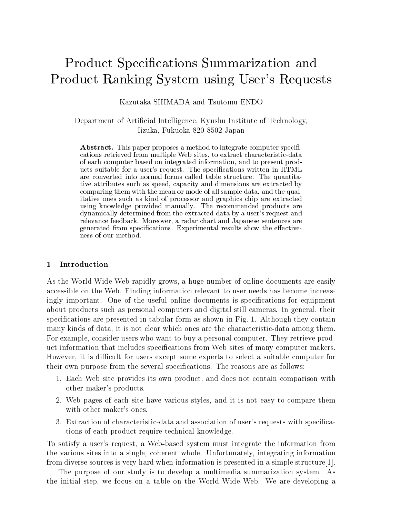# Product Specifications Summarization and Product Ranking System using User's Requests

Kazutaka SHIMADA and Tsutomu ENDO

Department of Artificial Intelligence, Kyushu Institute of Technology, Iizuka, Fukuoka 820-8502 Japan

**Abstract.** This paper proposes a method to integrate computer specifications retrieved from multiple Web sites, to extract characteristic-data of each computer based on integrated information, and to present products suitable for a user's request. The specifications written in HTML are converted into normal forms called table structure. The quantitative attributes such as speed, capacity and dimensions are extracted by comparing them with the mean or mode of all sample data, and the qualitative ones such as kind of processor and graphics chip are extracted using knowledge provided manually. The recommended products are dynamically determined from the extracted data by a user's request and relevance feedback. Moreover, a radar chart and Japanese sentences are generated from specifications. Experimental results show the effectiveness of our method.

# Introduction  $\mathbf 1$

As the World Wide Web rapidly grows, a huge number of online documents are easily accessible on the Web. Finding information relevant to user needs has become increasingly important. One of the useful online documents is specifications for equipment about products such as personal computers and digital still cameras. In general, their specifications are presented in tabular form as shown in Fig. 1. Although they contain many kinds of data, it is not clear which ones are the characteristic-data among them. For example, consider users who want to buy a personal computer. They retrieve product information that includes specifications from Web sites of many computer makers. However, it is difficult for users except some experts to select a suitable computer for their own purpose from the several specifications. The reasons are as follows:

- 1. Each Web site provides its own product, and does not contain comparison with other maker's products.
- 2. Web pages of each site have various styles, and it is not easy to compare them with other maker's ones.
- 3. Extraction of characteristic-data and association of user's requests with specifications of each product require technical knowledge.

To satisfy a user's request, a Web-based system must integrate the information from the various sites into a single, coherent whole. Unfortunately, integrating information from diverse sources is very hard when information is presented in a simple structure [1].

The purpose of our study is to develop a multimedia summarization system. As the initial step, we focus on a table on the World Wide Web. We are developing a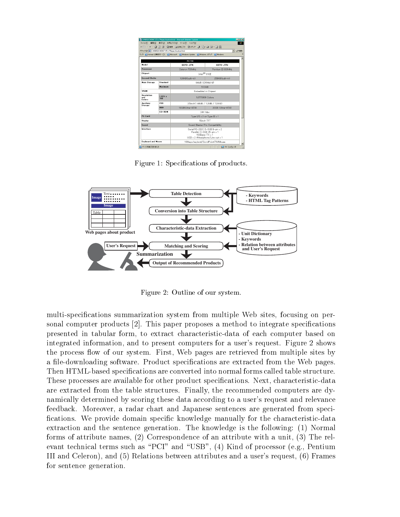|                                                                                                                                            |               | 4 CWWNDOWSV7'X9l-y1'Vopecification.html - Microsoft Internet Explorer                                                       | <b>CIDIX</b>       |  |
|--------------------------------------------------------------------------------------------------------------------------------------------|---------------|-----------------------------------------------------------------------------------------------------------------------------|--------------------|--|
|                                                                                                                                            |               | ファイル(F) 編集(E) 表示(V) お気に入り(A) ツール(T) ヘルプ(H)                                                                                  | <b>ALC</b>         |  |
|                                                                                                                                            |               | ←53 - → - ◎ 이 십 © @ # @ b%CA0 @ #7 /7 @   2 · △ Z · □ 8                                                                     |                    |  |
| アドレス(D) ※ C VWINDOWS¥デスクトップ Vspecification html<br>∂移動<br>リンク @ Hotmail の無料サービス @ Microsoft @ Windows Update @ Windows メディア @ Windows<br>w |               |                                                                                                                             |                    |  |
|                                                                                                                                            |               |                                                                                                                             |                    |  |
|                                                                                                                                            |               | PC710                                                                                                                       |                    |  |
| Model                                                                                                                                      |               | 6870-JPK                                                                                                                    | 6870-JTN           |  |
| Processor                                                                                                                                  |               | Celeron 700MHz                                                                                                              | Pentium III 800MHz |  |
| Chipset                                                                                                                                    |               | $\left[\text{ntel}^{(\text{F})}\right.810E$                                                                                 |                    |  |
| Second Chche                                                                                                                               |               | 128KB(huilt-in)                                                                                                             | 256KB(huilt-in)    |  |
| <b>Main Storage</b>                                                                                                                        | Standard      | 64MB SDRAM NP                                                                                                               |                    |  |
| Maximum<br><b>VRAM</b>                                                                                                                     |               | 512MB                                                                                                                       |                    |  |
|                                                                                                                                            |               | Embedded in Chinset                                                                                                         |                    |  |
| <b>Resolution</b><br>and<br>Colors                                                                                                         | 1.024x<br>768 | 1,6770000 Colors                                                                                                            |                    |  |
| Auxiliary<br>Storage                                                                                                                       | <b>FDD</b>    | 35inch(1.44MB / 1.2MB / 720KB)                                                                                              |                    |  |
|                                                                                                                                            | <b>HDD</b>    | 10GB(Ultra-ATA)                                                                                                             | 20GB (Ultra-ATA)   |  |
|                                                                                                                                            | CD-ROM        | 24X Max                                                                                                                     |                    |  |
| PC Card                                                                                                                                    |               | Type $1/\mathrm{II} \times 2$ or Type $\mathrm{III} \times 1$                                                               |                    |  |
| Display                                                                                                                                    |               | 15inch TFT                                                                                                                  |                    |  |
| Sound                                                                                                                                      |               | Sound Blaster Pro Compatibility                                                                                             |                    |  |
| Interface                                                                                                                                  |               | Serial:RS-232C D-SUB 9-pin x 2<br>Parallel: D-SUB 25-pin x 1<br>$100$ Base-TX $\times$ 1<br>USB x 2 AHeadphone/Line out x 1 |                    |  |
| Keyboard and Mouse                                                                                                                         |               | 109 keys keybord/ScrollPoint(TMMouse                                                                                        |                    |  |
| 第1パーの経事示文符ました                                                                                                                              |               |                                                                                                                             | ロライエア・トーク          |  |

Figure 1: Specifications of products.



Figure 2: Outline of our system.

multi-specifications summarization system from multiple Web sites, focusing on personal computer products  $[2]$ . This paper proposes a method to integrate specifications presented in tabular form, to extract characteristic-data of each computer based on integrated information, and to present computers for a user's request. Figure 2 shows the process flow of our system. First, Web pages are retrieved from multiple sites by a file-downloading software. Product specifications are extracted from the Web pages. Then HTML-based specifications are converted into normal forms called table structure. These processes are available for other product specifications. Next, characteristic-data are extracted from the table structures. Finally, the recommended computers are dynamically determined by scoring these data according to a user's request and relevance feedback. Moreover, a radar chart and Japanese sentences are generated from specifications. We provide domain specific knowledge manually for the characteristic-data extraction and the sentence generation. The knowledge is the following: (1) Normal forms of attribute names,  $(2)$  Correspondence of an attribute with a unit,  $(3)$  The relevant technical terms such as "PCI" and "USB", (4) Kind of processor (e.g., Pentium III and Celeron), and (5) Relations between attributes and a user's request, (6) Frames for sentence generation.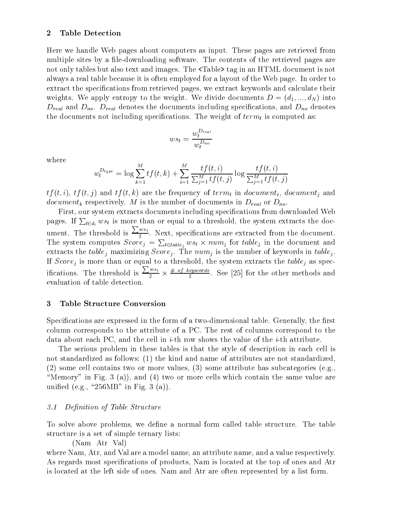#### $\overline{2}$ **Table Detection**

Here we handle Web pages about computers as input. These pages are retrieved from multiple sites by a file-downloading software. The contents of the retrieved pages are not only tables but also text and images. The <Table> tag in an HTML document is not always a real table because it is often employed for a layout of the Web page. In order to extract the specifications from retrieved pages, we extract keywords and calculate their weights. We apply entropy to the weight. We divide documents  $D = (d_1, ..., d_N)$  into  $D_{real}$  and  $D_{no}$ .  $D_{real}$  denotes the documents including specifications, and  $D_{no}$  denotes the documents not including specifications. The weight of  $term<sub>t</sub>$  is computed as:

$$
ws_t = \frac{w_t^{D_{real}}}{w_t^{D_{no}}}
$$

 $where$ 

$$
w_t^{D_{type}} = \log \sum_{k=1}^{M} tf(t, k) + \sum_{i=1}^{M} \frac{tf(t, i)}{\sum_{j=1}^{M} tf(t, j)} \log \frac{tf(t, i)}{\sum_{j=1}^{M} tf(t, j)}
$$

 $tf(t, i), tf(t, j)$  and  $tf(t, k)$  are the frequency of  $term_t$  in  $document_i$ ,  $document_j$  and *document<sub>k</sub>* respectively. M is the number of documents in  $D_{real}$  or  $D_{no}$ .

First, our system extracts documents including specifications from downloaded Web pages. If  $\sum_{t \in d_i} w s_t$  is more than or equal to a threshold, the system extracts the document. The threshold is  $\frac{\sum_{i \in a_i} w_{s_i}}{2}$ . Next, specifications are extracted from the document.<br>The system computes  $Score_j = \sum_{t \in table_j} w_{s_t} \times num_j$  for  $table_j$  in the document and extracts the  $table_j$  maximizing  $Score_j$ . The  $num_j$  is If  $Score_j$  is more than or equal to a threshold, the system extracts the  $table_j$  as specifications. The threshold is  $\frac{\sum w_{st}}{2} \times \frac{\# of \ key words}{2}$ . See [25] for the other methods and evaluation of table detection.

#### **Table Structure Conversion** 3

Specifications are expressed in the form of a two-dimensional table. Generally, the first column corresponds to the attribute of a PC. The rest of columns correspond to the data about each PC, and the cell in *i*-th row shows the value of the *i*-th attribute.

The serious problem in these tables is that the style of description in each cell is not standardized as follows: (1) the kind and name of attributes are not standardized, (2) some cell contains two or more values, (3) some attribute has subcategories (e.g., "Memory" in Fig. 3 (a)), and (4) two or more cells which contain the same value are unified (e.g., "256MB" in Fig. 3 (a)).

# $3.1$ Definition of Table Structure

To solve above problems, we define a normal form called table structure. The table structure is a set of simple ternary lists:

(Nam Atr Val)

where Nam, Atr, and Val are a model name, an attribute name, and a value respectively. As regards most specifications of products, Nam is located at the top of ones and Atr is located at the left side of ones. Nam and Atr are often represented by a list form.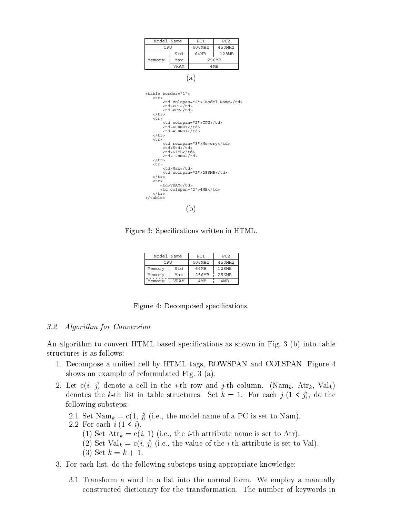|                                                        | Std                                | 64MB   | 128MB  |                          |                                  |            |  |  |
|--------------------------------------------------------|------------------------------------|--------|--------|--------------------------|----------------------------------|------------|--|--|
| Memory                                                 | Max                                |        | 256MB  |                          |                                  |            |  |  |
|                                                        | VRAM                               |        | 4MB    |                          |                                  |            |  |  |
|                                                        |                                    | (a)    |        |                          |                                  |            |  |  |
| <table border="1"><br/><math>&lt;</math>tr&gt;</table> |                                    |        |        |                          |                                  |            |  |  |
|                                                        | <td>PC1</td><br><td>PC2</td>       | PC1    | PC2    |                          | <td colspan="2"> Model Name</td> | Model Name |  |  |
|                                                        |                                    |        |        |                          |                                  |            |  |  |
|                                                        | <td>400MHz</td><br><td>450MHz</td> | 400MHz | 450MHz | <td colspan="2">CPU</td> | CPU                              |            |  |  |
|                                                        |                                    |        |        |                          |                                  |            |  |  |
| $<$ tr><br>                                            |                                    |        |        |                          |                                  |            |  |  |
|                                                        |                                    |        |        |                          |                                  |            |  |  |
|                                                        |                                    |        |        |                          |                                  |            |  |  |
|                                                        |                                    | b)     |        |                          |                                  |            |  |  |

PC1 PC2 400MHz 450MHz

CPU

Model Name

rigure 3: Specifications written in HIML.

| Model Name |      | PC <sub>1</sub> | PC2             |
|------------|------|-----------------|-----------------|
| CPU        |      | 400MHz          | 450MHz          |
| Memory     | Std  | 64MB            | 128MB           |
| Memory     | Max  | 256MB           | 256MB           |
| Memorv     | VRAM | 4 MR            | 4 <sub>MR</sub> |

rigure 4: Decomposed specifications.

# $3.2$

 $\mathbb{R}$  , and  $\mathbb{R}$  is the set of  $\mathbb{R}$  . The set of  $\mathbb{R}$  is the set of  $\mathbb{R}$  is the set of  $\mathbb{R}$ structures is as follows:

- . And  $\mathcal{M}$  is a set of the contract of the contract of the contract of the contract of the contract of the contract of the contract of the contract of the contract of the contract of the contract of the contract of th shows an example of reformulated Fig.  $3$  (a).
- $\mathcal{S} = \{ \mathcal{S} \mid \mathcal{S} \}$  , where  $\mathcal{S} = \{ \mathcal{S} \mid \mathcal{S} \}$  , where  $\mathcal{S} = \{ \mathcal{S} \mid \mathcal{S} \}$  $\mathbf{r}$  . The same state  $\mathbf{r}$ denotes the k-th list in table structures. Set  $k = 1$ . For each  $j$  (1 < j), do the following substeps:
	- #+. B 9. : 9++  7; :+
	- 2.2 For each  $i (1 \le i)$ ,
		- $\begin{array}{ccc} \n\lambda & J & \n\end{array}$
		- $\gamma = 1$  ,  $\gamma = 0$  ,  $\gamma = 0$  ,  $\gamma = 0$  ,  $\gamma = 0$  ,  $\gamma = 0$  ,  $\gamma = 0$  ,  $\gamma = 0$  ,  $\gamma = 0$  ,  $\gamma = 0$  ,  $\gamma = 0$  ,  $\gamma = 0$  ,  $\gamma = 0$  ,  $\gamma = 0$  ,  $\gamma = 0$  ,  $\gamma = 0$  ,  $\gamma = 0$  ,  $\gamma = 0$  ,  $\gamma = 0$  ,  $\gamma = 0$  ,  $\gamma = 0$  ,  $\gamma = 0$  ,
		- (3) Set  $k = k + 1$ .
- 3. For each list, do the following substeps using appropriate knowledge:
	- 3.1 Transform a word in a list into the normal form. We employ a manually constructed dictionary for the transformation. The number of keywords in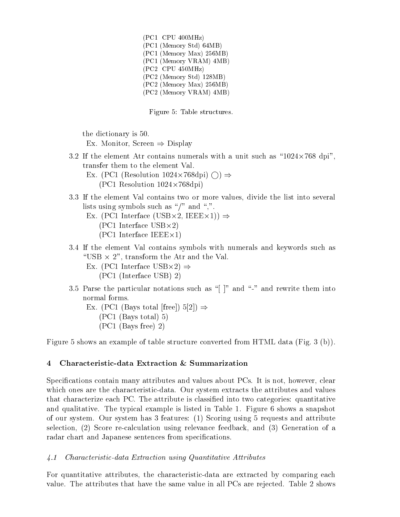| (PC1 CPU 400MHz)         |
|--------------------------|
| (PC1 (Memory Std) 64MB)  |
| (PC1 (Memory Max) 256MB) |
| (PC1 (Memory VRAM) 4MB)  |
| $(PC2$ CPU 450MHz)       |
|                          |
| (PC2 (Memory Std) 128MB) |
| (PC2 (Memory Max) 256MB) |

Figure 5: Table structures.

the dictionary is 50. Ex. Monitor, Screen  $\Rightarrow$  Display

- 3.2 If the element Atr contains numerals with a unit such as " $1024 \times 768$  dpi", transfer them to the element Val.
	- Ex. (PC1 (Resolution  $1024 \times 768$ dpi)  $\bigcirc$ )  $\Rightarrow$  $(PC1$  Resolution  $1024 \times 768$ dpi)
- 3.3 If the element Val contains two or more values, divide the list into several lists using symbols such as "/" and ",".
	- Ex. (PC1 Interface (USB×2, IEEE×1))  $\Rightarrow$  $(PC1$  Interface  $USB \times 2)$  $(PC1$  Interface IEEE $\times$ 1)
- 3.4 If the element Val contains symbols with numerals and keywords such as "USB  $\times$  2", transform the Atr and the Val.
	- Ex. (PC1 Interface USB $\times$ 2)  $\Rightarrow$  $(PC1)$  (Interface USB) 2)
- 3.5 Parse the particular notations such as " $\vert$ " and "-" and rewrite them into normal forms.

Ex. (PC1 (Bays total [free])  $5[2]$ )  $\Rightarrow$  $(PC1 (Bays total) 5)$  $(PC1 (Bays free) 2)$ 

Figure 5 shows an example of table structure converted from HTML data (Fig. 3 (b)).

# Characteristic-data Extraction & Summarization  $\overline{\mathbf{4}}$

Specifications contain many attributes and values about PCs. It is not, however, clear which ones are the characteristic-data. Our system extracts the attributes and values that characterize each PC. The attribute is classified into two categories: quantitative and qualitative. The typical example is listed in Table 1. Figure 6 shows a snapshot of our system. Our system has 3 features: (1) Scoring using 5 requests and attribute selection, (2) Score re-calculation using relevance feedback, and (3) Generation of a radar chart and Japanese sentences from specifications.

# Characteristic-data Extraction using Quantitative Attributes  $\lambda$ .1

For quantitative attributes, the characteristic-data are extracted by comparing each value. The attributes that have the same value in all PCs are rejected. Table 2 shows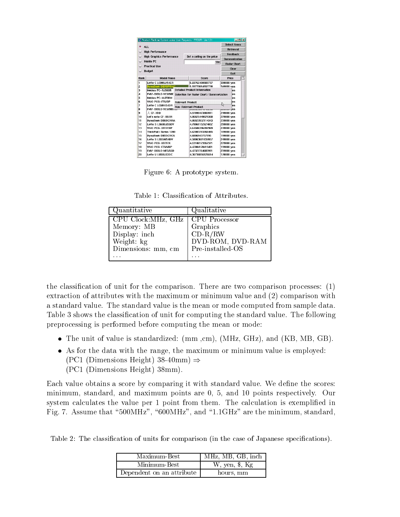|              | X Product Ranking System using User Requests -PRSUR- Ver.1.3.1 |                                           | $\Box$ D $\Box$     |
|--------------|----------------------------------------------------------------|-------------------------------------------|---------------------|
|              | ALL.                                                           |                                           | <b>Select Items</b> |
|              |                                                                |                                           | <b>Retrieval</b>    |
| $\checkmark$ | <b>High Performance</b>                                        |                                           | Feedback            |
| $\checkmark$ | <b>High Graphics Performance</b>                               | Set a ceiling on the price                | Summarization       |
| $\checkmark$ | <b>Mobile PC</b>                                               | Yen                                       | <b>Radar Chart</b>  |
| $\checkmark$ | <b>Practical Use</b>                                           |                                           | Clear               |
| ◇            | <b>Budget</b>                                                  |                                           |                     |
|              |                                                                |                                           | Exit                |
| <b>Rank</b>  | <b>Model Name</b>                                              | Score                                     | Price               |
| ı.           | LaVie C LC800J/54ER                                            | 5.65762498503737                          | 330000 yen          |
| z            | <b>DynaBook DB70P/5MC</b>                                      | 5.59770084552738                          | 349800 ven          |
| 3            | Mebius PC-RJ950R                                               | <b>Detailed Product Information</b>       | en                  |
| l4           | FMV-BIBLO NE5/60E                                              | Selection for Radar Chart / Summarization | en                  |
| 5            | Mebius PC-MJ700M                                               |                                           | en                  |
| G            | VAIO PCG-F76/BP                                                | <b>Relevant Product</b>                   | en                  |
| 7            | LaVie C LC60H/54DR                                             | <b>Non-Relevant Product</b>               | Ŷ,<br>en            |
| R            | <b>FMV-BIBLO NE5/800</b>                                       | __________                                | $\sim$              |
| g            | 人 CF-XID                                                       | 4.97090473807811                          | 249800 yen          |
| 10           | Let's note CF-B5ER                                             | 4.86825449029368                          | 279800 ven          |
| 11           | DynaBook DB60C/4RA                                             | 4.86022832114343                          | 239800 yen          |
| 12           | LaVie S LS600J/55DV                                            | 4.79861152624852                          | 299800 ven          |
| 13           | VAIO PCG-XR1F/RP                                               | 4.64586396287969                          | 249800 yen          |
| 14           | ThinkPad i Series 1200                                         | 4.62003783260485                          | 189800 yen          |
| 15           | DynaBook DB55C/4CA                                             | 4.6006943757195                           | 199800 yen          |
| 16           | LaVie S LS55H/54DV                                             | 4.58063601837857                          | 249800 yen          |
| 17           | VAIO PCG-XR7F/K                                                | 4.53106173957371                          | 279800 ven          |
| 18           | VAIO PCG-F70A/RP                                               | 4.47804170419491                          | 199800 yen          |
| 19           | FMV-BIBLO MF5/55D                                              | 4.47327764683991                          | 239800 yen          |
| 20           | LaVie U LU50L/53DC                                             | 4.36736095128514                          | 178000 ven          |

Figure 6: A prototype system.

Table 1: Classification of Attributes.

| Quantitative                        | Qualitative      |
|-------------------------------------|------------------|
| CPU Clock: MHz, GHz   CPU Processor |                  |
| Memory: MB                          | Graphics         |
| Display: inch                       | $CD-R/RW$        |
| Weight: kg                          | DVD-ROM, DVD-RAM |
| Dimensions: mm, cm                  | Pre-installed-OS |
|                                     |                  |

the classification of unit for the comparison. There are two comparison processes: (1) extraction of attributes with the maximum or minimum value and (2) comparison with a standard value. The standard value is the mean or mode computed from sample data. Table 3 shows the classification of unit for computing the standard value. The following preprocessing is performed before computing the mean or mode:

- The unit of value is standardized:  $(\text{mm}, \text{cm})$ ,  $(\text{MHz}, \text{GHz})$ , and  $(\text{KB}, \text{MB}, \text{GB})$ .
- As for the data with the range, the maximum or minimum value is employed:  $(PC1)$  (Dimensions Height) 38-40mm)  $\Rightarrow$ (PC1 (Dimensions Height) 38mm).

Each value obtains a score by comparing it with standard value. We define the scores: minimum, standard, and maximum points are 0, 5, and 10 points respectively. Our system calculates the value per 1 point from them. The calculation is exemplified in Fig. 7. Assume that "500MHz", "600MHz", and "1.1GHz" are the minimum, standard,

Table 2: The classification of units for comparison (in the case of Japanese specifications).

| Maximum-Best              | MHz, MB, GB, inch |
|---------------------------|-------------------|
| Minimum-Best              | W. ven. \$, Kg.   |
| Dependent on an attribute | hours. mm         |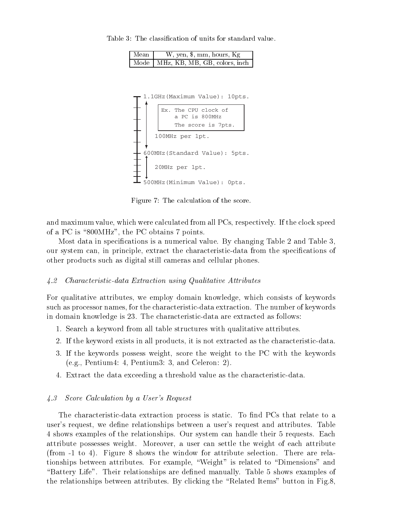Table 3: The classification of units for standard value.

| Mean 1 | $W$ , yen, \$, mm, hours, $Kg$       |
|--------|--------------------------------------|
|        | Mode   MHz, KB, MB, GB, colors, inch |



Figure 7: The calculation of the score.

and maximum value, which were calculated from all PCs, respectively. If the clock speed of a PC is "800MHz", the PC obtains 7 points.

Most data in specifications is a numerical value. By changing Table 2 and Table 3, our system can, in principle, extract the characteristic-data from the specifications of other products such as digital still cameras and cellular phones.

#### *Characteristic-data Extraction using Qualitative Attributes*  $\lambda$ . 2

For qualitative attributes, we employ domain knowledge, which consists of keywords such as processor names, for the characteristic-data extraction. The number of keywords in domain knowledge is 23. The characteristic-data are extracted as follows:

- 1. Search a keyword from all table structures with qualitative attributes.
- 2. If the keyword exists in all products, it is not extracted as the characteristic-data.
- 3. If the keywords possess weight, score the weight to the PC with the keywords (e.g., Pentium4: 4, Pentium3: 3, and Celeron: 2).
- 4. Extract the data exceeding a threshold value as the characteristic-data.

#### Score Calculation by a User's Request  $\lambda$ .3

The characteristic-data extraction process is static. To find PCs that relate to a user's request, we define relationships between a user's request and attributes. Table 4 shows examples of the relationships. Our system can handle their 5 requests. Each attribute possesses weight. Moreover, a user can settle the weight of each attribute (from -1 to 4). Figure 8 shows the window for attribute selection. There are relationships between attributes. For example, "Weight" is related to "Dimensions" and "Battery Life". Their relationships are defined manually. Table 5 shows examples of the relationships between attributes. By clicking the "Related Items" button in Fig.8,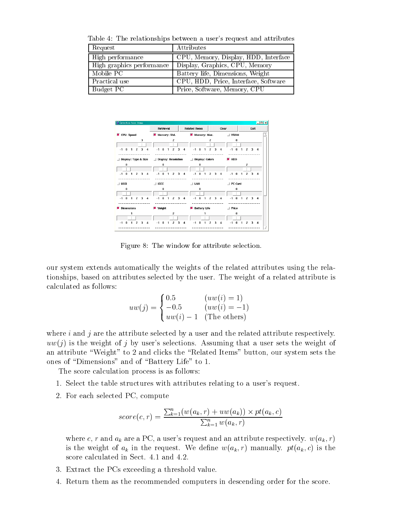Table 4: The relationships between a user's request and attributes

| Request                   | Attributes                           |
|---------------------------|--------------------------------------|
| High performance          | CPU, Memory, Display, HDD, Interface |
| High graphics performance | Display, Graphics, CPU, Memory       |
| Mobile PC                 | Battery life, Dimensions, Weight     |
| Practical use             | CPU, HDD, Price, Interface, Software |
| Budget PC                 | Price, Software, Memory, CPU         |



Figure 8: The window for attribute selection.

our system extends automatically the weights of the related attributes using the relationships, based on attributes selected by the user. The weight of a related attribute is calculated as follows:

$$
uw(j) = \begin{cases} 0.5 & (uw(i) = 1) \\ -0.5 & (uw(i) = -1) \\ uw(i) - 1 & (\text{The others}) \end{cases}
$$

where  $i$  and  $j$  are the attribute selected by a user and the related attribute respectively.  $uw(j)$  is the weight of j by user's selections. Assuming that a user sets the weight of an attribute "Weight" to 2 and clicks the "Related Items" button, our system sets the ones of "Dimensions" and of "Battery Life" to 1.

The score calculation process is as follows:

- 1. Select the table structures with attributes relating to a user's request.
- 2. For each selected PC, compute

$$
score(c,r) = \frac{\sum_{k=1}^{n} (w(a_k, r) + uw(a_k)) \times pt(a_k, c)}{\sum_{k=1}^{n} w(a_k, r)}
$$

where c, r and  $a_k$  are a PC, a user's request and an attribute respectively.  $w(a_k, r)$ is the weight of  $a_k$  in the request. We define  $w(a_k, r)$  manually.  $pt(a_k, c)$  is the score calculated in Sect. 4.1 and 4.2.

- 3. Extract the PCs exceeding a threshold value.
- 4. Return them as the recommended computers in descending order for the score.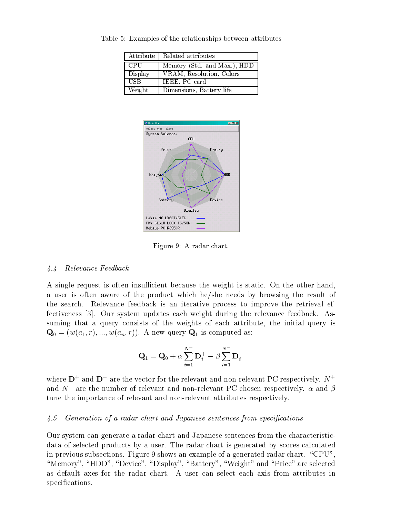|            | Attribute   Related attributes |
|------------|--------------------------------|
| <b>CPU</b> | Memory (Std. and Max.), HDD    |
| Display    | VRAM, Resolution, Colors       |
| USB        | IEEE, PC card                  |
| Weight     | Dimensions, Battery life       |

Table 5: Examples of the relationships between attributes



Figure 9: A radar chart.

#### $4.4$ Relevance Feedback

A single request is often insufficient because the weight is static. On the other hand, a user is often aware of the product which he/she needs by browsing the result of the search. Relevance feedback is an iterative process to improve the retrieval effectiveness [3]. Our system updates each weight during the relevance feedback. Assuming that a query consists of the weights of each attribute, the initial query is  $\mathbf{Q}_0 = (w(a_1, r), ..., w(a_n, r))$ . A new query  $\mathbf{Q}_1$  is computed as:

$$
\mathbf{Q}_1 = \mathbf{Q}_0 + \alpha \sum_{i=1}^{N^+} \mathbf{D}_i^+ - \beta \sum_{i=1}^{N^-} \mathbf{D}_i^-
$$

where  $D^+$  and  $D^-$  are the vector for the relevant and non-relevant PC respectively.  $N^+$ and  $N^-$  are the number of relevant and non-relevant PC chosen respectively.  $\alpha$  and  $\beta$ tune the importance of relevant and non-relevant attributes respectively.

#### *Generation of a radar chart and Japanese sentences from specifications*  $\frac{1}{4}$ . 5

Our system can generate a radar chart and Japanese sentences from the characteristicdata of selected products by a user. The radar chart is generated by scores calculated in previous subsections. Figure 9 shows an example of a generated radar chart. "CPU". "Memory", "HDD", "Device", "Display", "Battery", "Weight" and "Price" are selected as default axes for the radar chart. A user can select each axis from attributes in specifications.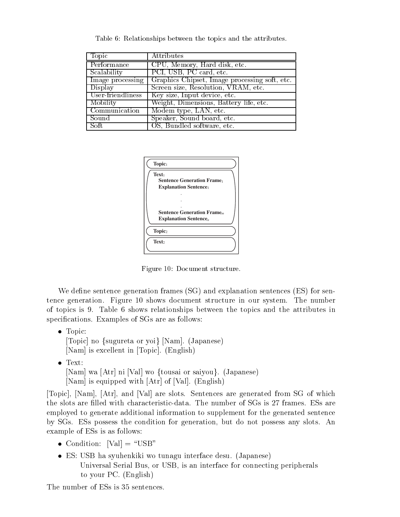| <b>Topic</b>      | Attributes                                    |
|-------------------|-----------------------------------------------|
| Performance       | CPU, Memory, Hard disk, etc.                  |
| Scalability       | PCI, USB, PC card, etc.                       |
| Image processing  | Graphics Chipset, Image processing soft, etc. |
| Display           | Screen size, Resolution, VRAM, etc.           |
| User-friendliness | Key size, Input device, etc.                  |
| Mobility          | Weight, Dimensions, Battery life, etc.        |
| Communication     | Modem type, LAN, etc.                         |
| Sound             | Speaker, Sound board, etc.                    |
| Soft              | OS, Bundled software, etc.                    |

Table 6: Relationships between the topics and the attributes.

| Topic <sub>1</sub>                                                                   |  |
|--------------------------------------------------------------------------------------|--|
| Text <sub>1</sub><br><b>Sentence Generation Frame</b><br><b>Explanation Sentence</b> |  |
| <b>Sentence Generation Frame</b> m<br><b>Explanation Sentence</b> $_{n}$             |  |
| Topic <sub>2</sub>                                                                   |  |
| <b>Text</b>                                                                          |  |

Figure 10: Document structure.

We define sentence generation frames (SG) and explanation sentences (ES) for sentence generation. Figure 10 shows document structure in our system. The number of topics is 9. Table 6 shows relationships between the topics and the attributes in specifications. Examples of SGs are as follows:

 $\bullet$  Topic:

[Topic] no {sugureta or yoi} [Nam]. (Japanese) [Nam] is excellent in [Topic]. (English)

 $\bullet$  Text:

[Nam] wa [Atr] ni [Val] wo {tousai or saiyou}. (Japanese)

[Nam] is equipped with [Atr] of [Val]. (English)

[Topic], [Nam], [Atr], and [Val] are slots. Sentences are generated from SG of which the slots are filled with characteristic-data. The number of SGs is 27 frames. ESs are employed to generate additional information to supplement for the generated sentence by SGs. ESs possess the condition for generation, but do not possess any slots. An example of ESs is as follows:

- Condition:  $[Val] = "USB"$
- ES: USB ha syuhenkiki wo tunagu interface desu. (Japanese) Universal Serial Bus, or USB, is an interface for connecting peripherals to your PC. (English)

The number of ESs is 35 sentences.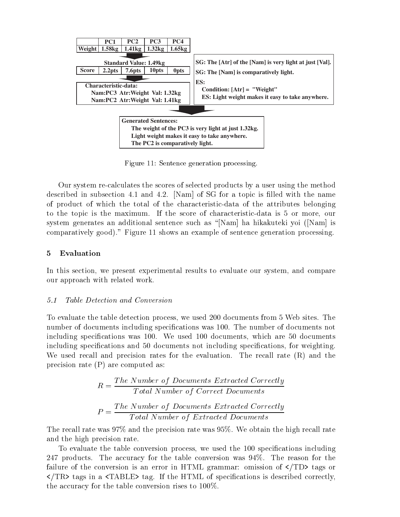

Figure 11: Sentence generation processing.

Our system re-calculates the scores of selected products by a user using the method described in subsection 4.1 and 4.2. [Nam] of SG for a topic is filled with the name of product of which the total of the characteristic-data of the attributes belonging to the topic is the maximum. If the score of characteristic-data is 5 or more, our system generates an additional sentence such as "[Nam] ha hikakuteki yoi ([Nam] is comparatively good)." Figure 11 shows an example of sentence generation processing.

#### Evaluation 5

In this section, we present experimental results to evaluate our system, and compare our approach with related work.

#### $5.1$ Table Detection and Conversion

To evaluate the table detection process, we used 200 documents from 5 Web sites. The number of documents including specifications was 100. The number of documents not including specifications was 100. We used 100 documents, which are 50 documents including specifications and 50 documents not including specifications, for weighting. We used recall and precision rates for the evaluation. The recall rate  $(R)$  and the precision rate  $(P)$  are computed as:

$$
R = \frac{The\ Number\ of\ Documents\ Extracted\ Correctly}{Total\ Number\ of\ Correct\ Documents}
$$

$$
P = \frac{The\ Number\ of\ Documents\ Extracted\ Correctly}{Total\ Number\ of\ Extracted\ Documents}
$$

The recall rate was  $97\%$  and the precision rate was  $95\%$ . We obtain the high recall rate and the high precision rate.

To evaluate the table conversion process, we used the 100 specifications including 247 products. The accuracy for the table conversion was  $94\%$ . The reason for the failure of the conversion is an error in HTML grammar: omission of  $\langle$ /TD> tags or  $\langle$ TR> tags in a  $\langle$ TABLE> tag. If the HTML of specifications is described correctly, the accuracy for the table conversion rises to  $100\%$ .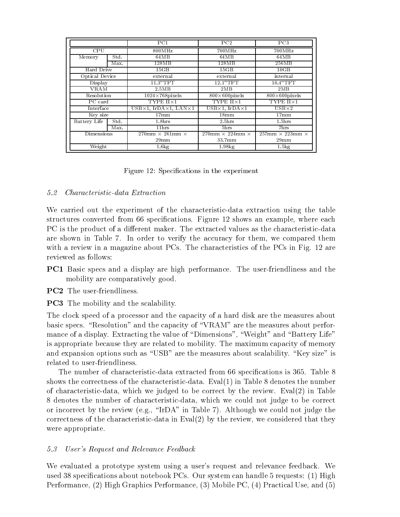|                |      | PC1                                           | PC2                              | PC3                                         |
|----------------|------|-----------------------------------------------|----------------------------------|---------------------------------------------|
| CPU            |      | 800MHz                                        | 700MHz                           | 700MHz                                      |
| Memory         | Std. | 64MB                                          | 64MB                             | 64MB                                        |
|                | Max. | 128MB                                         | 128MB                            | 256MB                                       |
| Hard Drive     |      | 15GB                                          | 15GB                             | 10GB                                        |
| Optical Device |      | external                                      | external                         | internal                                    |
| Display        |      | 11.3"TFT                                      | 12.1"TFT                         | 10.4"TFT                                    |
| <b>VRAM</b>    |      | 2.5MB                                         | 2MB                              | 2MB                                         |
| Resolution     |      | $1024\times 768$ pixels                       | $800\times600$ pixels            | $800\times600$ pixels                       |
| PC card        |      | <b>TYPE IIx1</b>                              | TYPE II×1                        | TYPE II×1                                   |
| Interface      |      | $USB\times1$ , IrDA $\times1$ , LAN $\times1$ | $USB\times1$ , IrDA $\times1$    | $USB \times 2$                              |
| Key size       |      | $17 \,\mathrm{mm}$                            | 18mm                             | 17mm                                        |
| Battery Life   | Std. | 1.8 <sub>hrs</sub>                            | 2.5 <sub>hrs</sub>               | 1.5 <sub>hrs</sub>                          |
|                | Max. | 11hrs                                         | 5hrs                             | 7hrs                                        |
| Dimensions     |      | $270 \text{mm} \times 261 \text{mm} \times$   | $270$ mm $\times$ 224mm $\times$ | $257 \text{mm} \times 223 \text{mm} \times$ |
|                |      | $29 \,\mathrm{mm}$                            | 33.7mm                           | 29mm                                        |
| Weight         |      | $1.6$ kg                                      | $1.98$ kg                        | $1.5$ kg                                    |

Figure 12: Specifications in the experiment

# 5.2 *Characteristic-data Extraction*

We carried out the experiment of the characteristic-data extraction using the table structures converted from 66 specifications. Figure 12 shows an example, where each PC is the product of a different maker. The extracted values as the characteristic-data are shown in Table 7. In order to verify the accuracy for them, we compared them with a review in a magazine about PCs. The characteristics of the PCs in Fig. 12 are reviewed as follows:

- **PC1** Basic specs and a display are high performance. The user-friendliness and the mobility are comparatively good.
- **PC2** The user-friendliness.
- **PC3** The mobility and the scalability.

The clock speed of a processor and the capacity of a hard disk are the measures about basic specs. "Resolution" and the capacity of "VRAM" are the measures about performance of a display. Extracting the value of "Dimensions", "Weight" and "Battery Life" is appropriate because they are related to mobility. The maximum capacity of memory and expansion options such as "USB" are the measures about scalability. "Key size" is related to user-friendliness.

The number of characteristic-data extracted from 66 specifications is 365. Table 8 shows the correctness of the characteristic-data.  $Eval(1)$  in Table 8 denotes the number of characteristic-data, which we judged to be correct by the review. Eval(2) in Table 8 denotes the number of characteristic-data, which we could not judge to be correct or incorrect by the review (e.g., "IrDA" in Table 7). Although we could not judge the correctness of the characteristic-data in  $Eval(2)$  by the review, we considered that they were appropriate.

# $5.3$ User's Request and Relevance Feedback

We evaluated a prototype system using a user's request and relevance feedback. We used 38 specifications about notebook PCs. Our system can handle 5 requests: (1) High Performance, (2) High Graphics Performance, (3) Mobile PC, (4) Practical Use, and (5)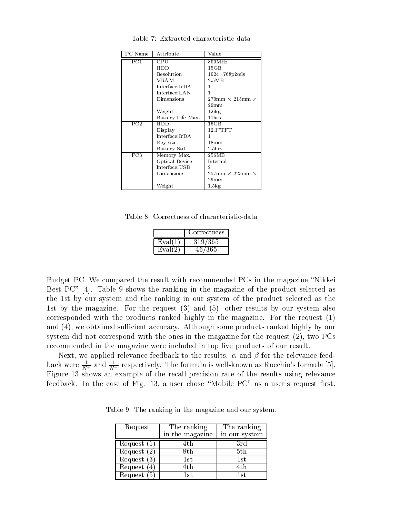| PC Name | Attribute         | Value                                       |  |
|---------|-------------------|---------------------------------------------|--|
| PC1     | CPU               | 800MHz                                      |  |
|         | HDD               | 15GB                                        |  |
|         | Resolution        | $1024\times 768$ pixels                     |  |
|         | VRAM              | 2.5MB                                       |  |
|         | Interface: IrDA   | 1                                           |  |
|         | Interface:LAN     | 1                                           |  |
|         | Dimensions        | $270$ mm $\times$ 215mm $\times$            |  |
|         |                   | $29 \,\mathrm{mm}$                          |  |
|         | Weight            | $1.6\text{kg}$                              |  |
|         | Battery Life Max. | $11\,\mathrm{hrs}$                          |  |
| PC2     | <b>HDD</b>        | 15GB                                        |  |
|         | Display           | 12.1"TFT                                    |  |
|         | Interface: IrDA   | 1                                           |  |
|         | Key size          | $18 \,\mathrm{mm}$                          |  |
|         | Battery Std.      | 2.5 <sub>hrs</sub>                          |  |
| PC3     | Memory Max.       | 256MB                                       |  |
|         | Optical Device    | Internal                                    |  |
|         | Interface:USB     | 2                                           |  |
|         | Dimensions        | $257 \text{mm} \times 223 \text{mm} \times$ |  |
|         |                   | $29 \,\mathrm{mm}$                          |  |
|         | Weight            | $1.5\text{kg}$                              |  |

Table 7: Extracted characteristic-data

Table 8: Correctness of characteristic-data

|         | Correctness       |
|---------|-------------------|
| Eval(1) | $\frac{319}{365}$ |
| Eval(2) | 46/365            |

Budget PC. We compared the result with recommended PCs in the magazine "Nikkei Best PC" [4]. Table 9 shows the ranking in the magazine of the product selected as the 1st by our system and the ranking in our system of the product selected as the 1st by the magazine. For the request  $(3)$  and  $(5)$ , other results by our system also corresponded with the products ranked highly in the magazine. For the request (1) and (4), we obtained sufficient accuracy. Although some products ranked highly by our system did not correspond with the ones in the magazine for the request  $(2)$ , two PCs recommended in the magazine were included in top five products of our result

Next, we applied relevance feedback to the results.  $\alpha$  and  $\beta$  for the relevance feedback were  $\frac{1}{N^+}$  and  $\frac{1}{N^-}$  respectively. The formula is well-known as Rocchio's formula [5]. Figure 13 shows an example of the recall-precision rate of the results using relevance feedback. In the case of Fig. 13, a user chose "Mobile PC" as a user's request first.

| Request       | The ranking     | The ranking   |
|---------------|-----------------|---------------|
|               | in the magazine | in our system |
| Request $(1)$ | 4th             | 3rd           |
| Request $(2)$ | 8th             | 5th           |
| Request (3)   | 1st             | 1st           |
| Request (4)   | 4t.h            | 4th           |
| Request (5    | 1st             | 1st           |

Table 9: The ranking in the magazine and our system.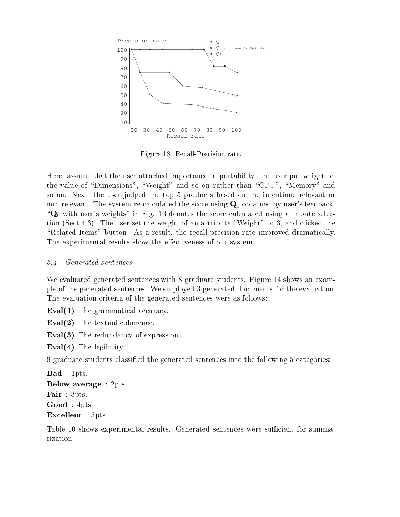

Figure 13: Recall-Precision rate.

Here, assume that the user attached importance to portability: the user put weight on the value of "Dimensions", "Weight" and so on rather than "CPU", "Memory" and so on. Next, the user judged the top 5 products based on the intention: relevant or non-relevant. The system re-calculated the score using  $Q_1$  obtained by user's feedback. " $Q_0$  with user's weights" in Fig. 13 denotes the score calculated using attribute selection (Sect.4.3). The user set the weight of an attribute "Weight" to 3, and clicked the "Related Items" button. As a result, the recall-precision rate improved dramatically. The experimental results show the effectiveness of our system.

# $5.4$ *Generated sentences*

We evaluated generated sentences with 8 graduate students. Figure 14 shows an example of the generated sentences. We employed 3 generated documents for the evaluation. The evaluation criteria of the generated sentences were as follows:

 $Eval(1)$  The grammatical accuracy.

 $Eval(2)$  The textual coherence.

**Eval(3)** The redundancy of expression.

 $Eval(4)$  The legibility.

8 graduate students classified the generated sentences into the following 5 categories:

**Bad** : 1pts. **Below average: 2pts.** Fair:  $3pts$ .  $Good : 4pts.$ **Excellent** : 5pts.

Table 10 shows experimental results. Generated sentences were sufficient for summarization.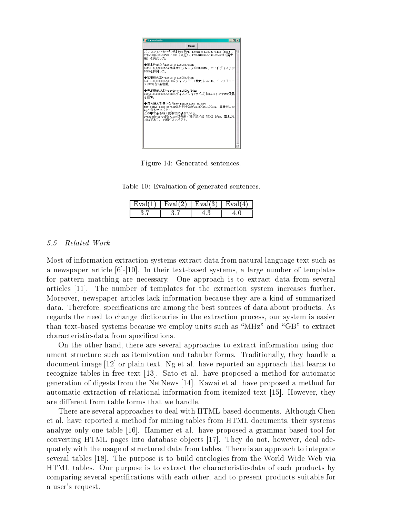| Summarization<br>$\Box$ olxi                                                                                                                                                                       |  |
|----------------------------------------------------------------------------------------------------------------------------------------------------------------------------------------------------|--|
| Close                                                                                                                                                                                              |  |
| パソコンメーカー各社はそれぞれ、LAVIE-C-LC800J/54ER(NEC)<br>DYNABOOK-SS-DS50C/1CCR(東芝)、FMV-BIBLO-LOOX-S5/53W(富士<br> 通)を発売した。                                                                                       |  |
| ◆基本性能ならLaVie-C-LC800J/54ER<br>LaVie-C-LC800J/54ERはCPU(クロック)に800MHz、ハードディスクに<br>20GBを採用した。                                                                                                          |  |
| ◆拡張性の高いLaVie-C-LC800J/54ER<br>LaVie-C-LC800J/54ERはメインメモリ(最大)に256MB、インタフェー<br>ス(USB) を2基装備。                                                                                                         |  |
| ◆表示機能がよいLaVie-C-LC800J/54ER<br>LaVie-C-LC800J/54ERはディスプレイ(サイズ)に14.1インチIFT液晶<br>を搭載。                                                                                                                |  |
| ◆特ち運んで使うならFMV-BIBLO-L00X-S5/53W<br> PMV-BIBLO-LOOX-S5/53Wは外形寸法が24.3×15.1×3cm、重量が0.99<br>kgと最もコンパクト。<br>ごの中で最も軽く携帯性に優れている。<br>DynaBook-SS-DS50c/1ccRは外形寸法が27×22.75×2.99cm、重量が1<br>└8kqであり、比較的コンパクト。 |  |
|                                                                                                                                                                                                    |  |

Figure 14: Generated sentences.

Table 10: Evaluation of generated sentences.

| <b>TTO</b> | twal(フ) - | - الدين<br>3 L. | 1.75 |
|------------|-----------|-----------------|------|
|            |           |                 |      |

# 5.5 Related Work

Most of information extraction systems extract data from natural language text such as a newspaper article  $[6]-[10]$ . In their text-based systems, a large number of templates for pattern matching are necessary. One approach is to extract data from several articles [11]. The number of templates for the extraction system increases further. Moreover, newspaper articles lack information because they are a kind of summarized data. Therefore, specifications are among the best sources of data about products. As regards the need to change dictionaries in the extraction process, our system is easier than text-based systems because we employ units such as "MHz" and "GB" to extract characteristic-data from specifications.

On the other hand, there are several approaches to extract information using document structure such as itemization and tabular forms. Traditionally, they handle a document image  $[12]$  or plain text. Ng et al. have reported an approach that learns to recognize tables in free text [13]. Sato et al. have proposed a method for automatic generation of digests from the NetNews [14]. Kawai et al. have proposed a method for automatic extraction of relational information from itemized text [15]. However, they are different from table forms that we handle.

There are several approaches to deal with HTML-based documents. Although Chen et al. have reported a method for mining tables from HTML documents, their systems analyze only one table [16]. Hammer et al. have proposed a grammar-based tool for converting HTML pages into database objects [17]. They do not, however, deal adequately with the usage of structured data from tables. There is an approach to integrate several tables [18]. The purpose is to build ontologies from the World Wide Web via HTML tables. Our purpose is to extract the characteristic-data of each products by comparing several specifications with each other, and to present products suitable for a user's request.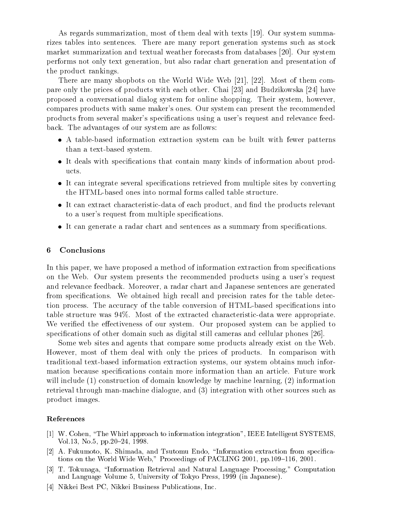As regards summarization, most of them deal with texts [19]. Our system summarizes tables into sentences. There are many report generation systems such as stock market summarization and textual weather forecasts from databases [20]. Our system performs not only text generation, but also radar chart generation and presentation of the product rankings.

There are many shopbots on the World Wide Web [21], [22]. Most of them compare only the prices of products with each other. Chai [23] and Budzikowska [24] have proposed a conversational dialog system for online shopping. Their system, however. compares products with same maker's ones. Our system can present the recommended products from several maker's specifications using a user's request and relevance feedback. The advantages of our system are as follows:

- A table-based information extraction system can be built with fewer patterns than a text-based system.
- It deals with specifications that contain many kinds of information about products.
- It can integrate several specifications retrieved from multiple sites by converting the HTML-based ones into normal forms called table structure.
- It can extract characteristic-data of each product, and find the products relevant to a user's request from multiple specifications.
- It can generate a radar chart and sentences as a summary from specifications.

#### Conclusions 6

In this paper, we have proposed a method of information extraction from specifications on the Web. Our system presents the recommended products using a user's request and relevance feedback. Moreover, a radar chart and Japanese sentences are generated from specifications. We obtained high recall and precision rates for the table detection process. The accuracy of the table conversion of HTML-based specifications into table structure was 94%. Most of the extracted characteristic-data were appropriate. We verified the effectiveness of our system. Our proposed system can be applied to specifications of other domain such as digital still cameras and cellular phones [26].

Some web sites and agents that compare some products already exist on the Web. However, most of them deal with only the prices of products. In comparison with traditional text-based information extraction systems, our system obtains much information because specifications contain more information than an article. Future work will include  $(1)$  construction of domain knowledge by machine learning,  $(2)$  information retrieval through man-machine dialogue, and (3) integration with other sources such as product images.

# References

- [1] W. Cohen, "The Whirl approach to information integration", IEEE Intelligent SYSTEMS, Vol.13, No.5, pp.20-24, 1998.
- [2] A. Fukumoto, K. Shimada, and Tsutomu Endo, "Information extraction from specifications on the World Wide Web," Proceedings of PACLING 2001, pp.109-116, 2001.
- [3] T. Tokunaga, "Information Retrieval and Natural Language Processing," Computation and Language Volume 5, University of Tokyo Press, 1999 (in Japanese).
- [4] Nikkei Best PC, Nikkei Business Publications, Inc.